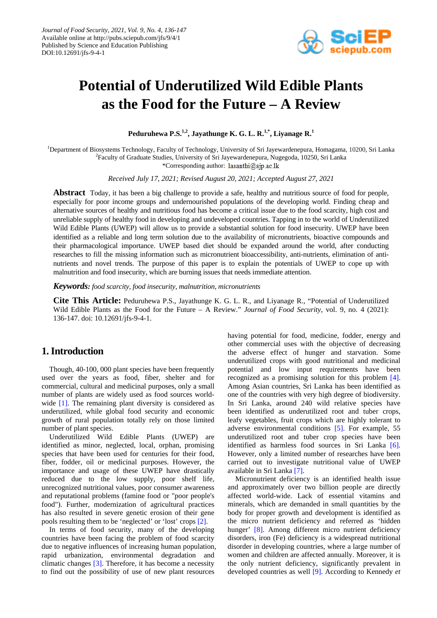

# **Potential of Underutilized Wild Edible Plants as the Food for the Future – A Review**

**Peduruhewa P.S.1,2 , Jayathunge K. G. L. R.1,\* , Liyanage R. 1**

<sup>1</sup>Department of Biosystems Technology, Faculty of Technology, University of Sri Jayewardenepura, Homagama, 10200, Sri Lanka <sup>2</sup> Faculty of Graduate Studies, University of Sri Jayewardenepura, Nugegoda, 10250, Sri Lanka

\*Corresponding author: lasanthi@sjp.ac.lk

*Received July 17, 2021; Revised August 20, 2021; Accepted August 27, 2021*

**Abstract** Today, it has been a big challenge to provide a safe, healthy and nutritious source of food for people, especially for poor income groups and undernourished populations of the developing world. Finding cheap and alternative sources of healthy and nutritious food has become a critical issue due to the food scarcity, high cost and unreliable supply of healthy food in developing and undeveloped countries. Tapping in to the world of Underutilized Wild Edible Plants (UWEP) will allow us to provide a substantial solution for food insecurity. UWEP have been identified as a reliable and long term solution due to the availability of micronutrients, bioactive compounds and their pharmacological importance. UWEP based diet should be expanded around the world, after conducting researches to fill the missing information such as micronutrient bioaccessibility, anti-nutrients, elimination of antinutrients and novel trends. The purpose of this paper is to explain the potentials of UWEP to cope up with malnutrition and food insecurity, which are burning issues that needs immediate attention.

*Keywords: food scarcity, food insecurity, malnutrition, micronutrients*

**Cite This Article:** Peduruhewa P.S., Jayathunge K. G. L. R., and Liyanage R., "Potential of Underutilized Wild Edible Plants as the Food for the Future – A Review." *Journal of Food Security*, vol. 9, no. 4 (2021): 136-147. doi: 10.12691/jfs-9-4-1.

## **1. Introduction**

Though, 40-100, 000 plant species have been frequently used over the years as food, fiber, shelter and for commercial, cultural and medicinal purposes, only a small number of plants are widely used as food sources world-wide [\[1\].](#page-8-0) The remaining plant diversity is considered as underutilized, while global food security and economic growth of rural population totally rely on those limited number of plant species.

Underutilized Wild Edible Plants (UWEP) are identified as minor, neglected, local, orphan, promising species that have been used for centuries for their food, fiber, fodder, oil or medicinal purposes. However, the importance and usage of these UWEP have drastically reduced due to the low supply, poor shelf life, unrecognized nutritional values, poor consumer awareness and reputational problems (famine food or "poor people's food"). Further, modernization of agricultural practices has also resulted in severe genetic erosion of their gene pools resulting them to be 'neglected' or 'lost' crops [\[2\].](#page-8-1)

In terms of food security, many of the developing countries have been facing the problem of food scarcity due to negative influences of increasing human population, rapid urbanization, environmental degradation and climatic changes [\[3\].](#page-9-0) Therefore, it has become a necessity to find out the possibility of use of new plant resources

having potential for food, medicine, fodder, energy and other commercial uses with the objective of decreasing the adverse effect of hunger and starvation. Some underutilized crops with good nutritional and medicinal potential and low input requirements have been recognized as a promising solution for this problem [\[4\].](#page-9-1)  Among Asian countries, Sri Lanka has been identified as one of the countries with very high degree of biodiversity. In Sri Lanka, around 240 wild relative species have been identified as underutilized root and tuber crops, leafy vegetables, fruit crops which are highly tolerant to adverse environmental conditions [\[5\].](#page-9-2) For example, 55 underutilized root and tuber crop species have been identified as harmless food sources in Sri Lanka [\[6\].](#page-9-3) However, only a limited number of researches have been carried out to investigate nutritional value of UWEP available in Sri Lank[a \[7\].](#page-9-4)

Micronutrient deficiency is an identified health issue and approximately over two billion people are directly affected world-wide. Lack of essential vitamins and minerals, which are demanded in small quantities by the body for proper growth and development is identified as the micro nutrient deficiency and referred as 'hidden hunger' [\[8\].](#page-9-5) Among different micro nutrient deficiency disorders, iron (Fe) deficiency is a widespread nutritional disorder in developing countries, where a large number of women and children are affected annually. Moreover, it is the only nutrient deficiency, significantly prevalent in developed countries as well [\[9\].](#page-9-6) According to Kennedy *et*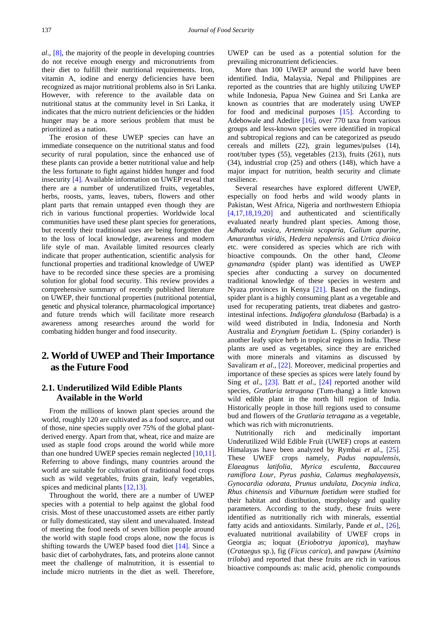*al*., [\[8\],](#page-9-5) the majority of the people in developing countries do not receive enough energy and micronutrients from their diet to fulfill their nutritional requirements. Iron, vitamin A, iodine and energy deficiencies have been recognized as major nutritional problems also in Sri Lanka. However, with reference to the available data on nutritional status at the community level in Sri Lanka, it indicates that the micro nutrient deficiencies or the hidden hunger may be a more serious problem that must be prioritized as a nation.

The erosion of these UWEP species can have an immediate consequence on the nutritional status and food security of rural population, since the enhanced use of these plants can provide a better nutritional value and help the less fortunate to fight against hidden hunger and food insecurity [\[4\].](#page-9-1) Available information on UWEP reveal that there are a number of underutilized fruits, vegetables, herbs, roosts, yams, leaves, tubers, flowers and other plant parts that remain untapped even though they are rich in various functional properties. Worldwide local communities have used these plant species for generations, but recently their traditional uses are being forgotten due to the loss of local knowledge, awareness and modern life style of man. Available limited resources clearly indicate that proper authentication, scientific analysis for functional properties and traditional knowledge of UWEP have to be recorded since these species are a promising solution for global food security. This review provides a comprehensive summary of recently published literature on UWEP, their functional properties (nutritional potential, genetic and physical tolerance, pharmacological importance) and future trends which will facilitate more research awareness among researches around the world for combating hidden hunger and food insecurity.

## **2. World of UWEP and Their Importance as the Future Food**

#### **2.1. Underutilized Wild Edible Plants Available in the World**

From the millions of known plant species around the world, roughly 120 are cultivated as a food source, and out of those, nine species supply over 75% of the global plantderived energy. Apart from that, wheat, rice and maize are used as staple food crops around the world while more than one hundred UWEP species remain neglected [\[10,11\].](#page-9-7) Referring to above findings, many countries around the world are suitable for cultivation of traditional food crops such as wild vegetables, fruits grain, leafy vegetables, spices and medicinal plants [\[12,13\].](#page-9-8)

Throughout the world, there are a number of UWEP species with a potential to help against the global food crisis. Most of these unaccustomed assets are either partly or fully domesticated, stay silent and unevaluated. Instead of meeting the food needs of seven billion people around the world with staple food crops alone, now the focus is shifting towards the UWEP based food diet [\[14\].](#page-9-9) Since a basic diet of carbohydrates, fats, and proteins alone cannot meet the challenge of malnutrition, it is essential to include micro nutrients in the diet as well. Therefore, UWEP can be used as a potential solution for the prevailing micronutrient deficiencies.

More than 100 UWEP around the world have been identified. India, Malaysia, Nepal and Philippines are reported as the countries that are highly utilizing UWEP while Indonesia, Papua New Guinea and Sri Lanka are known as countries that are moderately using UWEP for food and medicinal purposes [\[15\].](#page-9-10) According to Adebowale and Adedire [\[16\],](#page-9-11) over 770 taxa from various groups and less-known species were identified in tropical and subtropical regions and can be categorized as pseudo cereals and millets (22), grain legumes/pulses (14), root/tuber types (55), vegetables (213), fruits (261), nuts (34), industrial crop (25) and others (148), which have a major impact for nutrition, health security and climate resilience.

Several researches have explored different UWEP, especially on food herbs and wild woody plants in Pakistan, West Africa, Nigeria and northwestern Ethiopia [\[4,17,18,19,20\]](#page-9-1) and authenticated and scientifically evaluated nearly hundred plant species. Among those, *Adhatoda vasica, Artemisia scoparia, Galium aparine, Amaranthus viridis, Hedera nepalensis* and *Urtica dioica*  etc. were considered as species which are rich with bioactive compounds. On the other hand, *Cleome gynamandra* (spider plant) was identified as UWEP species after conducting a survey on documented traditional knowledge of these species in western and Nyaza provinces in Kenya [\[21\].](#page-9-12) Based on the findings, spider plant is a highly consuming plant as a vegetable and used for recuperating patients, treat diabetes and gastrointestinal infections. *Indigofera glandulosa* (Barbada) is a wild weed distributed in India, Indonesia and North Australia and *Eryngium foetidum* L. (Spiny coriander) is another leafy spice herb in tropical regions in India. These plants are used as vegetables, since they are enriched with more minerals and vitamins as discussed by Savaliram *et al.*, [\[22\].](#page-9-13) Moreover, medicinal properties and importance of these species as spices were lately found by Sing *et al*., [\[23\].](#page-9-14) Batt *et al*., [\[24\]](#page-9-15) reported another wild species, *Gratlaria tetragana* (Tum-thang) a little known wild edible plant in the north hill region of India. Historically people in those hill regions used to consume bud and flowers of the *Gratlaria tetragana* as a vegetable, which was rich with micronutrients.

Nutritionally rich and medicinally important Underutilized Wild Edible Fruit (UWEF) crops at eastern Himalayas have been analyzed by Rymbai *et al*., [\[25\].](#page-9-16) These UWEF crops namely, *Padus napaulensis, Elaeagnus latifolia, Myrica esculenta, Baccaurea ramiflora Lour, Pyrus pashia, Calamus meghalayensis, Gynocardia odorata, Prunus undulata, Docynia indica, Rhus chinensis* and *Viburnum foetidum* were studied for their habitat and distribution, morphology and quality parameters. According to the study, these fruits were identified as nutritionally rich with minerals, essential fatty acids and antioxidants. Similarly, Pande *et al*., [\[26\],](#page-9-17) evaluated nutritional availability of UWEF crops in Georgia as; loquat (*Eriobotrya japonica*), mayhaw (*Crataegus* sp.), fig (*Ficus carica*), and pawpaw (*Asimina triloba*) and reported that these fruits are rich in various bioactive compounds as: malic acid, phenolic compounds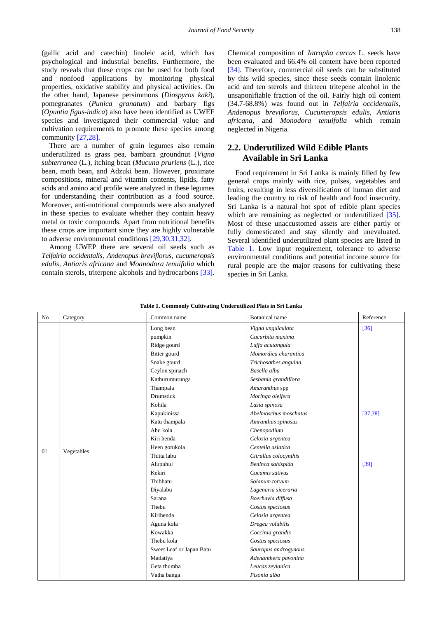(gallic acid and catechin) linoleic acid, which has psychological and industrial benefits. Furthermore, the study reveals that these crops can be used for both food and nonfood applications by monitoring physical properties, oxidative stability and physical activities. On the other hand, Japanese persimmons (*Diospyros kaki*), pomegranates (*Punica granatum*) and barbary figs (*Opuntia figus-indica*) also have been identified as UWEF species and investigated their commercial value and cultivation requirements to promote these species among community [\[27,28\].](#page-9-18)

There are a number of grain legumes also remain underutilized as grass pea, bambara groundnut (*Vigna subterranea* (L.), itching bean (*Mucuna pruriens* (L.), rice bean, moth bean, and Adzuki bean. However, proximate compositions, mineral and vitamin contents, lipids, fatty acids and amino acid profile were analyzed in these legumes for understanding their contribution as a food source. Moreover, anti-nutritional compounds were also analyzed in these species to evaluate whether they contain heavy metal or toxic compounds. Apart from nutritional benefits these crops are important since they are highly vulnerable to adverse environmental condition[s \[29,30,31,32\].](#page-9-19)

Among UWEP there are several oil seeds such as *Telfairia occidentalis, Andenopus breviflorus, cucumeropsis edulis, Antiaris africana* and *Moanodora tenuifolia* which contain sterols, triterpene alcohols and hydrocarbons [\[33\].](#page-9-20) Chemical composition of *Jatropha curcas* L. seeds have been evaluated and 66.4% oil content have been reported [\[34\].](#page-9-21) Therefore, commercial oil seeds can be substituted by this wild species, since these seeds contain linolenic acid and ten sterols and thirteen tritepene alcohol in the unsaponifiable fraction of the oil. Fairly high oil content (34.7-68.8%) was found out in *Telfairia occidentalis*, *Andenopus breviflorus*, *Cucumeropsis edulis*, *Antiaris africana*, and *Monodora tenuifolia* which remain neglected in Nigeria.

#### **2.2. Underutilized Wild Edible Plants Available in Sri Lanka**

Food requirement in Sri Lanka is mainly filled by few general crops mainly with rice, pulses, vegetables and fruits, resulting in less diversification of human diet and leading the country to risk of health and food insecurity. Sri Lanka is a natural hot spot of edible plant species which are remaining as neglected or underutilized [\[35\].](#page-9-22) Most of these unaccustomed assets are either partly or fully domesticated and stay silently and unevaluated. Several identified underutilized plant species are listed in [Table 1.](#page-2-0) Low input requirement, tolerance to adverse environmental conditions and potential income source for rural people are the major reasons for cultivating these species in Sri Lanka.

<span id="page-2-0"></span>

| N <sub>o</sub> | Category   | Common name              | <b>Botanical</b> name | Reference |
|----------------|------------|--------------------------|-----------------------|-----------|
|                |            | Long bean                | Vigna unguiculata     | $[36]$    |
|                |            | pumpkin                  | Cucurbita maxima      |           |
|                |            | Ridge gourd              | Luffa acutangula      |           |
|                |            | Bitter gourd             | Momordica charantica  |           |
|                |            | Snake gourd              | Trichosathes anguina  |           |
|                |            | Ceylon spinach           | Basella alba          |           |
|                |            | Kathurumurunga           | Sesbania grandiflora  |           |
|                |            | Thampala                 | Amaranthus spp        |           |
|                |            | Drumstick                | Moringa oleifera      |           |
|                |            | Kohila                   | Lasia spinosa         |           |
|                |            | Kapukinissa              | Abelmoschus moschatus | [37, 38]  |
|                |            | Katu thampala            | Amranthus spinosus    |           |
|                |            | Ahu kola                 | Chenopodium           |           |
|                | Vegetables | Kiri henda               | Celosia argentea      |           |
| 01             |            | Heen gotukola            | Centella asiatica     |           |
|                |            | Thitta labu              | Citrullus colocynthis |           |
|                |            | Alupuhul                 | Beninca sahispida     | $[39]$    |
|                |            | Kekiri                   | Cucumis sativus       |           |
|                |            | Thibbatu                 | Solanum torvum        |           |
|                |            | Diyalabu                 | Lagenaria siceraria   |           |
|                |            | Sarana                   | Boerhavia diffusa     |           |
|                |            | Thebu                    | Costus speciosus      |           |
|                |            | Kirihenda                | Celosia argentea      |           |
|                |            | Aguna kola               | Dregea volubilis      |           |
|                |            | Kowakka                  | Coccinia grandis      |           |
|                |            | Thebu kola               | Costus speciosus      |           |
|                |            | Sweet Leaf or Japan Batu | Sauropus androgynous  |           |
|                |            | Madatiya                 | Adenanthera pavonina  |           |
|                |            | Geta thumba              | Leucas zeylanica      |           |
|                |            | Vatha banga              | Pisonia alba          |           |

**Table 1. Commonly Cultivating Underutilized Plats in Sri Lanka**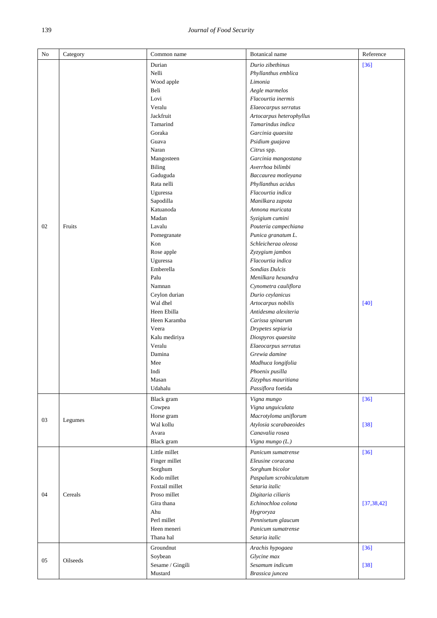#### 139 *Journal of Food Security*

| Durian<br>Durio zibethinus<br>$[36]$<br>Nelli<br>Phyllanthus emblica<br>Limonia<br>Wood apple<br>Beli<br>Aegle marmelos<br>Lovi<br>Flacourtia inermis<br>Veralu<br>Elaeocarpus serratus<br>Jackfruit<br>Artocarpus heterophyllus<br>Tamarind<br>Tamarindus indica<br>Goraka<br>Garcinia quaesita<br>Guava<br>Psidium guajava<br>Naran<br>Citrus spp.<br>Mangosteen<br>Garcinia mangostana<br>Averrhoa bilimbi<br><b>Biling</b><br>Gaduguda<br>Baccaurea motleyana<br>Rata nelli<br>Phyllanthus acidus<br>Uguressa<br>Flacourtia indica<br>Sapodilla<br>Manilkara zapota<br>Katuanoda<br>Annona muricata<br>Madan<br>Syzigium cumini<br>02<br>Fruits<br>Pouteria campechiana<br>Lavalu<br>Pomegranate<br>Punica granatum L.<br>Schleicheraa oleosa<br>Kon<br>Rose apple<br>Zyzygium jambos<br>Uguressa<br>Flacourtia indica<br>Emberella<br><b>Sondias Dulcis</b><br>Palu<br>Menilkara hexandra<br>Namnan<br>Cynometra cauliflora<br>Ceylon durian<br>Durio ceylanicus<br>Wal dhel<br>Artocarpus nobilis<br>$[40]$<br>Heen Ebilla<br>Antidesma alexiteria<br>Heen Karamba<br>Carissa spinarum<br>Veera<br>Drypetes sepiaria<br>Kalu mediriya<br>Diospyros quaesita<br>Veralu<br>Elaeocarpus serratus<br>Grewia damine<br>Damina<br>Mee<br>Madhuca longifolia<br>Indi<br>Phoenix pusilla<br>Zizyphus mauritiana<br>Masan<br>Passiflora foetida<br>Udahalu<br>Black gram<br>Vigna mungo<br>$[36]$<br>Vigna unguiculata<br>Cowpea<br>Macrotyloma uniflorum<br>Horse gram<br>03<br>Legumes<br>Atylosia scarabaeoides<br>Wal kollu<br>$[38]$<br>Canavalia rosea<br>Avara<br>Black gram<br>Vigna mungo (L.)<br>Little millet<br>$[36]$<br>Panicum sumatrense<br>Finger millet<br>Eleusine coracana<br>Sorghum<br>Sorghum bicolor<br>Kodo millet<br>Paspalum scrobiculatum<br>Foxtail millet<br>Setaria italic<br>04<br>Cereals<br>Proso millet<br>Digitaria ciliaris<br>Gira thana<br>Echinochloa colona<br>[37, 38, 42]<br>Ahu<br>Hygroryza<br>Pennisetum glaucum<br>Perl millet<br>Panicum sumatrense<br>Heen meneri<br>Thana hal<br>Setaria italic<br>Groundnut<br>Arachis hypogaea<br>$[36]$ | No | Category | Common name | Botanical name | Reference |
|-------------------------------------------------------------------------------------------------------------------------------------------------------------------------------------------------------------------------------------------------------------------------------------------------------------------------------------------------------------------------------------------------------------------------------------------------------------------------------------------------------------------------------------------------------------------------------------------------------------------------------------------------------------------------------------------------------------------------------------------------------------------------------------------------------------------------------------------------------------------------------------------------------------------------------------------------------------------------------------------------------------------------------------------------------------------------------------------------------------------------------------------------------------------------------------------------------------------------------------------------------------------------------------------------------------------------------------------------------------------------------------------------------------------------------------------------------------------------------------------------------------------------------------------------------------------------------------------------------------------------------------------------------------------------------------------------------------------------------------------------------------------------------------------------------------------------------------------------------------------------------------------------------------------------------------------------------------------------------------------------------------------------------------------------------------------------------------------|----|----------|-------------|----------------|-----------|
|                                                                                                                                                                                                                                                                                                                                                                                                                                                                                                                                                                                                                                                                                                                                                                                                                                                                                                                                                                                                                                                                                                                                                                                                                                                                                                                                                                                                                                                                                                                                                                                                                                                                                                                                                                                                                                                                                                                                                                                                                                                                                           |    |          |             |                |           |
|                                                                                                                                                                                                                                                                                                                                                                                                                                                                                                                                                                                                                                                                                                                                                                                                                                                                                                                                                                                                                                                                                                                                                                                                                                                                                                                                                                                                                                                                                                                                                                                                                                                                                                                                                                                                                                                                                                                                                                                                                                                                                           |    |          |             |                |           |
|                                                                                                                                                                                                                                                                                                                                                                                                                                                                                                                                                                                                                                                                                                                                                                                                                                                                                                                                                                                                                                                                                                                                                                                                                                                                                                                                                                                                                                                                                                                                                                                                                                                                                                                                                                                                                                                                                                                                                                                                                                                                                           |    |          |             |                |           |
|                                                                                                                                                                                                                                                                                                                                                                                                                                                                                                                                                                                                                                                                                                                                                                                                                                                                                                                                                                                                                                                                                                                                                                                                                                                                                                                                                                                                                                                                                                                                                                                                                                                                                                                                                                                                                                                                                                                                                                                                                                                                                           |    |          |             |                |           |
|                                                                                                                                                                                                                                                                                                                                                                                                                                                                                                                                                                                                                                                                                                                                                                                                                                                                                                                                                                                                                                                                                                                                                                                                                                                                                                                                                                                                                                                                                                                                                                                                                                                                                                                                                                                                                                                                                                                                                                                                                                                                                           |    |          |             |                |           |
|                                                                                                                                                                                                                                                                                                                                                                                                                                                                                                                                                                                                                                                                                                                                                                                                                                                                                                                                                                                                                                                                                                                                                                                                                                                                                                                                                                                                                                                                                                                                                                                                                                                                                                                                                                                                                                                                                                                                                                                                                                                                                           |    |          |             |                |           |
|                                                                                                                                                                                                                                                                                                                                                                                                                                                                                                                                                                                                                                                                                                                                                                                                                                                                                                                                                                                                                                                                                                                                                                                                                                                                                                                                                                                                                                                                                                                                                                                                                                                                                                                                                                                                                                                                                                                                                                                                                                                                                           |    |          |             |                |           |
|                                                                                                                                                                                                                                                                                                                                                                                                                                                                                                                                                                                                                                                                                                                                                                                                                                                                                                                                                                                                                                                                                                                                                                                                                                                                                                                                                                                                                                                                                                                                                                                                                                                                                                                                                                                                                                                                                                                                                                                                                                                                                           |    |          |             |                |           |
|                                                                                                                                                                                                                                                                                                                                                                                                                                                                                                                                                                                                                                                                                                                                                                                                                                                                                                                                                                                                                                                                                                                                                                                                                                                                                                                                                                                                                                                                                                                                                                                                                                                                                                                                                                                                                                                                                                                                                                                                                                                                                           |    |          |             |                |           |
|                                                                                                                                                                                                                                                                                                                                                                                                                                                                                                                                                                                                                                                                                                                                                                                                                                                                                                                                                                                                                                                                                                                                                                                                                                                                                                                                                                                                                                                                                                                                                                                                                                                                                                                                                                                                                                                                                                                                                                                                                                                                                           |    |          |             |                |           |
|                                                                                                                                                                                                                                                                                                                                                                                                                                                                                                                                                                                                                                                                                                                                                                                                                                                                                                                                                                                                                                                                                                                                                                                                                                                                                                                                                                                                                                                                                                                                                                                                                                                                                                                                                                                                                                                                                                                                                                                                                                                                                           |    |          |             |                |           |
|                                                                                                                                                                                                                                                                                                                                                                                                                                                                                                                                                                                                                                                                                                                                                                                                                                                                                                                                                                                                                                                                                                                                                                                                                                                                                                                                                                                                                                                                                                                                                                                                                                                                                                                                                                                                                                                                                                                                                                                                                                                                                           |    |          |             |                |           |
|                                                                                                                                                                                                                                                                                                                                                                                                                                                                                                                                                                                                                                                                                                                                                                                                                                                                                                                                                                                                                                                                                                                                                                                                                                                                                                                                                                                                                                                                                                                                                                                                                                                                                                                                                                                                                                                                                                                                                                                                                                                                                           |    |          |             |                |           |
|                                                                                                                                                                                                                                                                                                                                                                                                                                                                                                                                                                                                                                                                                                                                                                                                                                                                                                                                                                                                                                                                                                                                                                                                                                                                                                                                                                                                                                                                                                                                                                                                                                                                                                                                                                                                                                                                                                                                                                                                                                                                                           |    |          |             |                |           |
|                                                                                                                                                                                                                                                                                                                                                                                                                                                                                                                                                                                                                                                                                                                                                                                                                                                                                                                                                                                                                                                                                                                                                                                                                                                                                                                                                                                                                                                                                                                                                                                                                                                                                                                                                                                                                                                                                                                                                                                                                                                                                           |    |          |             |                |           |
|                                                                                                                                                                                                                                                                                                                                                                                                                                                                                                                                                                                                                                                                                                                                                                                                                                                                                                                                                                                                                                                                                                                                                                                                                                                                                                                                                                                                                                                                                                                                                                                                                                                                                                                                                                                                                                                                                                                                                                                                                                                                                           |    |          |             |                |           |
|                                                                                                                                                                                                                                                                                                                                                                                                                                                                                                                                                                                                                                                                                                                                                                                                                                                                                                                                                                                                                                                                                                                                                                                                                                                                                                                                                                                                                                                                                                                                                                                                                                                                                                                                                                                                                                                                                                                                                                                                                                                                                           |    |          |             |                |           |
|                                                                                                                                                                                                                                                                                                                                                                                                                                                                                                                                                                                                                                                                                                                                                                                                                                                                                                                                                                                                                                                                                                                                                                                                                                                                                                                                                                                                                                                                                                                                                                                                                                                                                                                                                                                                                                                                                                                                                                                                                                                                                           |    |          |             |                |           |
|                                                                                                                                                                                                                                                                                                                                                                                                                                                                                                                                                                                                                                                                                                                                                                                                                                                                                                                                                                                                                                                                                                                                                                                                                                                                                                                                                                                                                                                                                                                                                                                                                                                                                                                                                                                                                                                                                                                                                                                                                                                                                           |    |          |             |                |           |
|                                                                                                                                                                                                                                                                                                                                                                                                                                                                                                                                                                                                                                                                                                                                                                                                                                                                                                                                                                                                                                                                                                                                                                                                                                                                                                                                                                                                                                                                                                                                                                                                                                                                                                                                                                                                                                                                                                                                                                                                                                                                                           |    |          |             |                |           |
|                                                                                                                                                                                                                                                                                                                                                                                                                                                                                                                                                                                                                                                                                                                                                                                                                                                                                                                                                                                                                                                                                                                                                                                                                                                                                                                                                                                                                                                                                                                                                                                                                                                                                                                                                                                                                                                                                                                                                                                                                                                                                           |    |          |             |                |           |
|                                                                                                                                                                                                                                                                                                                                                                                                                                                                                                                                                                                                                                                                                                                                                                                                                                                                                                                                                                                                                                                                                                                                                                                                                                                                                                                                                                                                                                                                                                                                                                                                                                                                                                                                                                                                                                                                                                                                                                                                                                                                                           |    |          |             |                |           |
|                                                                                                                                                                                                                                                                                                                                                                                                                                                                                                                                                                                                                                                                                                                                                                                                                                                                                                                                                                                                                                                                                                                                                                                                                                                                                                                                                                                                                                                                                                                                                                                                                                                                                                                                                                                                                                                                                                                                                                                                                                                                                           |    |          |             |                |           |
|                                                                                                                                                                                                                                                                                                                                                                                                                                                                                                                                                                                                                                                                                                                                                                                                                                                                                                                                                                                                                                                                                                                                                                                                                                                                                                                                                                                                                                                                                                                                                                                                                                                                                                                                                                                                                                                                                                                                                                                                                                                                                           |    |          |             |                |           |
|                                                                                                                                                                                                                                                                                                                                                                                                                                                                                                                                                                                                                                                                                                                                                                                                                                                                                                                                                                                                                                                                                                                                                                                                                                                                                                                                                                                                                                                                                                                                                                                                                                                                                                                                                                                                                                                                                                                                                                                                                                                                                           |    |          |             |                |           |
|                                                                                                                                                                                                                                                                                                                                                                                                                                                                                                                                                                                                                                                                                                                                                                                                                                                                                                                                                                                                                                                                                                                                                                                                                                                                                                                                                                                                                                                                                                                                                                                                                                                                                                                                                                                                                                                                                                                                                                                                                                                                                           |    |          |             |                |           |
|                                                                                                                                                                                                                                                                                                                                                                                                                                                                                                                                                                                                                                                                                                                                                                                                                                                                                                                                                                                                                                                                                                                                                                                                                                                                                                                                                                                                                                                                                                                                                                                                                                                                                                                                                                                                                                                                                                                                                                                                                                                                                           |    |          |             |                |           |
|                                                                                                                                                                                                                                                                                                                                                                                                                                                                                                                                                                                                                                                                                                                                                                                                                                                                                                                                                                                                                                                                                                                                                                                                                                                                                                                                                                                                                                                                                                                                                                                                                                                                                                                                                                                                                                                                                                                                                                                                                                                                                           |    |          |             |                |           |
|                                                                                                                                                                                                                                                                                                                                                                                                                                                                                                                                                                                                                                                                                                                                                                                                                                                                                                                                                                                                                                                                                                                                                                                                                                                                                                                                                                                                                                                                                                                                                                                                                                                                                                                                                                                                                                                                                                                                                                                                                                                                                           |    |          |             |                |           |
|                                                                                                                                                                                                                                                                                                                                                                                                                                                                                                                                                                                                                                                                                                                                                                                                                                                                                                                                                                                                                                                                                                                                                                                                                                                                                                                                                                                                                                                                                                                                                                                                                                                                                                                                                                                                                                                                                                                                                                                                                                                                                           |    |          |             |                |           |
|                                                                                                                                                                                                                                                                                                                                                                                                                                                                                                                                                                                                                                                                                                                                                                                                                                                                                                                                                                                                                                                                                                                                                                                                                                                                                                                                                                                                                                                                                                                                                                                                                                                                                                                                                                                                                                                                                                                                                                                                                                                                                           |    |          |             |                |           |
|                                                                                                                                                                                                                                                                                                                                                                                                                                                                                                                                                                                                                                                                                                                                                                                                                                                                                                                                                                                                                                                                                                                                                                                                                                                                                                                                                                                                                                                                                                                                                                                                                                                                                                                                                                                                                                                                                                                                                                                                                                                                                           |    |          |             |                |           |
|                                                                                                                                                                                                                                                                                                                                                                                                                                                                                                                                                                                                                                                                                                                                                                                                                                                                                                                                                                                                                                                                                                                                                                                                                                                                                                                                                                                                                                                                                                                                                                                                                                                                                                                                                                                                                                                                                                                                                                                                                                                                                           |    |          |             |                |           |
|                                                                                                                                                                                                                                                                                                                                                                                                                                                                                                                                                                                                                                                                                                                                                                                                                                                                                                                                                                                                                                                                                                                                                                                                                                                                                                                                                                                                                                                                                                                                                                                                                                                                                                                                                                                                                                                                                                                                                                                                                                                                                           |    |          |             |                |           |
|                                                                                                                                                                                                                                                                                                                                                                                                                                                                                                                                                                                                                                                                                                                                                                                                                                                                                                                                                                                                                                                                                                                                                                                                                                                                                                                                                                                                                                                                                                                                                                                                                                                                                                                                                                                                                                                                                                                                                                                                                                                                                           |    |          |             |                |           |
|                                                                                                                                                                                                                                                                                                                                                                                                                                                                                                                                                                                                                                                                                                                                                                                                                                                                                                                                                                                                                                                                                                                                                                                                                                                                                                                                                                                                                                                                                                                                                                                                                                                                                                                                                                                                                                                                                                                                                                                                                                                                                           |    |          |             |                |           |
|                                                                                                                                                                                                                                                                                                                                                                                                                                                                                                                                                                                                                                                                                                                                                                                                                                                                                                                                                                                                                                                                                                                                                                                                                                                                                                                                                                                                                                                                                                                                                                                                                                                                                                                                                                                                                                                                                                                                                                                                                                                                                           |    |          |             |                |           |
|                                                                                                                                                                                                                                                                                                                                                                                                                                                                                                                                                                                                                                                                                                                                                                                                                                                                                                                                                                                                                                                                                                                                                                                                                                                                                                                                                                                                                                                                                                                                                                                                                                                                                                                                                                                                                                                                                                                                                                                                                                                                                           |    |          |             |                |           |
|                                                                                                                                                                                                                                                                                                                                                                                                                                                                                                                                                                                                                                                                                                                                                                                                                                                                                                                                                                                                                                                                                                                                                                                                                                                                                                                                                                                                                                                                                                                                                                                                                                                                                                                                                                                                                                                                                                                                                                                                                                                                                           |    |          |             |                |           |
|                                                                                                                                                                                                                                                                                                                                                                                                                                                                                                                                                                                                                                                                                                                                                                                                                                                                                                                                                                                                                                                                                                                                                                                                                                                                                                                                                                                                                                                                                                                                                                                                                                                                                                                                                                                                                                                                                                                                                                                                                                                                                           |    |          |             |                |           |
|                                                                                                                                                                                                                                                                                                                                                                                                                                                                                                                                                                                                                                                                                                                                                                                                                                                                                                                                                                                                                                                                                                                                                                                                                                                                                                                                                                                                                                                                                                                                                                                                                                                                                                                                                                                                                                                                                                                                                                                                                                                                                           |    |          |             |                |           |
|                                                                                                                                                                                                                                                                                                                                                                                                                                                                                                                                                                                                                                                                                                                                                                                                                                                                                                                                                                                                                                                                                                                                                                                                                                                                                                                                                                                                                                                                                                                                                                                                                                                                                                                                                                                                                                                                                                                                                                                                                                                                                           |    |          |             |                |           |
|                                                                                                                                                                                                                                                                                                                                                                                                                                                                                                                                                                                                                                                                                                                                                                                                                                                                                                                                                                                                                                                                                                                                                                                                                                                                                                                                                                                                                                                                                                                                                                                                                                                                                                                                                                                                                                                                                                                                                                                                                                                                                           |    |          |             |                |           |
|                                                                                                                                                                                                                                                                                                                                                                                                                                                                                                                                                                                                                                                                                                                                                                                                                                                                                                                                                                                                                                                                                                                                                                                                                                                                                                                                                                                                                                                                                                                                                                                                                                                                                                                                                                                                                                                                                                                                                                                                                                                                                           |    |          |             |                |           |
|                                                                                                                                                                                                                                                                                                                                                                                                                                                                                                                                                                                                                                                                                                                                                                                                                                                                                                                                                                                                                                                                                                                                                                                                                                                                                                                                                                                                                                                                                                                                                                                                                                                                                                                                                                                                                                                                                                                                                                                                                                                                                           |    |          |             |                |           |
|                                                                                                                                                                                                                                                                                                                                                                                                                                                                                                                                                                                                                                                                                                                                                                                                                                                                                                                                                                                                                                                                                                                                                                                                                                                                                                                                                                                                                                                                                                                                                                                                                                                                                                                                                                                                                                                                                                                                                                                                                                                                                           |    |          |             |                |           |
|                                                                                                                                                                                                                                                                                                                                                                                                                                                                                                                                                                                                                                                                                                                                                                                                                                                                                                                                                                                                                                                                                                                                                                                                                                                                                                                                                                                                                                                                                                                                                                                                                                                                                                                                                                                                                                                                                                                                                                                                                                                                                           |    |          |             |                |           |
|                                                                                                                                                                                                                                                                                                                                                                                                                                                                                                                                                                                                                                                                                                                                                                                                                                                                                                                                                                                                                                                                                                                                                                                                                                                                                                                                                                                                                                                                                                                                                                                                                                                                                                                                                                                                                                                                                                                                                                                                                                                                                           |    |          |             |                |           |
|                                                                                                                                                                                                                                                                                                                                                                                                                                                                                                                                                                                                                                                                                                                                                                                                                                                                                                                                                                                                                                                                                                                                                                                                                                                                                                                                                                                                                                                                                                                                                                                                                                                                                                                                                                                                                                                                                                                                                                                                                                                                                           |    |          |             |                |           |
|                                                                                                                                                                                                                                                                                                                                                                                                                                                                                                                                                                                                                                                                                                                                                                                                                                                                                                                                                                                                                                                                                                                                                                                                                                                                                                                                                                                                                                                                                                                                                                                                                                                                                                                                                                                                                                                                                                                                                                                                                                                                                           |    |          |             |                |           |
|                                                                                                                                                                                                                                                                                                                                                                                                                                                                                                                                                                                                                                                                                                                                                                                                                                                                                                                                                                                                                                                                                                                                                                                                                                                                                                                                                                                                                                                                                                                                                                                                                                                                                                                                                                                                                                                                                                                                                                                                                                                                                           |    |          |             |                |           |
|                                                                                                                                                                                                                                                                                                                                                                                                                                                                                                                                                                                                                                                                                                                                                                                                                                                                                                                                                                                                                                                                                                                                                                                                                                                                                                                                                                                                                                                                                                                                                                                                                                                                                                                                                                                                                                                                                                                                                                                                                                                                                           |    |          |             |                |           |
|                                                                                                                                                                                                                                                                                                                                                                                                                                                                                                                                                                                                                                                                                                                                                                                                                                                                                                                                                                                                                                                                                                                                                                                                                                                                                                                                                                                                                                                                                                                                                                                                                                                                                                                                                                                                                                                                                                                                                                                                                                                                                           |    |          |             |                |           |
|                                                                                                                                                                                                                                                                                                                                                                                                                                                                                                                                                                                                                                                                                                                                                                                                                                                                                                                                                                                                                                                                                                                                                                                                                                                                                                                                                                                                                                                                                                                                                                                                                                                                                                                                                                                                                                                                                                                                                                                                                                                                                           |    |          |             |                |           |
|                                                                                                                                                                                                                                                                                                                                                                                                                                                                                                                                                                                                                                                                                                                                                                                                                                                                                                                                                                                                                                                                                                                                                                                                                                                                                                                                                                                                                                                                                                                                                                                                                                                                                                                                                                                                                                                                                                                                                                                                                                                                                           |    |          |             |                |           |
|                                                                                                                                                                                                                                                                                                                                                                                                                                                                                                                                                                                                                                                                                                                                                                                                                                                                                                                                                                                                                                                                                                                                                                                                                                                                                                                                                                                                                                                                                                                                                                                                                                                                                                                                                                                                                                                                                                                                                                                                                                                                                           |    |          |             |                |           |
|                                                                                                                                                                                                                                                                                                                                                                                                                                                                                                                                                                                                                                                                                                                                                                                                                                                                                                                                                                                                                                                                                                                                                                                                                                                                                                                                                                                                                                                                                                                                                                                                                                                                                                                                                                                                                                                                                                                                                                                                                                                                                           |    |          |             |                |           |
|                                                                                                                                                                                                                                                                                                                                                                                                                                                                                                                                                                                                                                                                                                                                                                                                                                                                                                                                                                                                                                                                                                                                                                                                                                                                                                                                                                                                                                                                                                                                                                                                                                                                                                                                                                                                                                                                                                                                                                                                                                                                                           |    |          |             |                |           |
|                                                                                                                                                                                                                                                                                                                                                                                                                                                                                                                                                                                                                                                                                                                                                                                                                                                                                                                                                                                                                                                                                                                                                                                                                                                                                                                                                                                                                                                                                                                                                                                                                                                                                                                                                                                                                                                                                                                                                                                                                                                                                           |    |          | Soybean     | Glycine max    |           |
| 05<br>Oilseeds<br>Sesame / Gingili<br>Sesamum indicum<br>$[38]$                                                                                                                                                                                                                                                                                                                                                                                                                                                                                                                                                                                                                                                                                                                                                                                                                                                                                                                                                                                                                                                                                                                                                                                                                                                                                                                                                                                                                                                                                                                                                                                                                                                                                                                                                                                                                                                                                                                                                                                                                           |    |          |             |                |           |
| Mustard<br>Brassica juncea                                                                                                                                                                                                                                                                                                                                                                                                                                                                                                                                                                                                                                                                                                                                                                                                                                                                                                                                                                                                                                                                                                                                                                                                                                                                                                                                                                                                                                                                                                                                                                                                                                                                                                                                                                                                                                                                                                                                                                                                                                                                |    |          |             |                |           |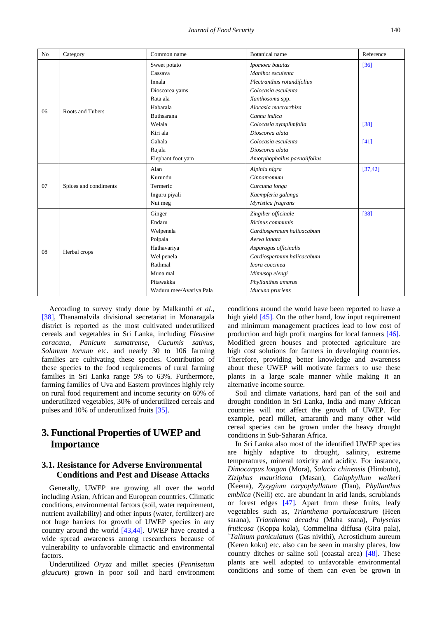| N <sub>o</sub> | Category              | Common name             | <b>Botanical</b> name        | Reference |
|----------------|-----------------------|-------------------------|------------------------------|-----------|
|                | Roots and Tubers      | Sweet potato            | Ipomoea batatas              | $[36]$    |
|                |                       | Cassava                 | Manihot esculenta            |           |
|                |                       | Innala                  | Plectranthus rotundifolius   |           |
|                |                       | Dioscorea yams          | Colocasia esculenta          |           |
|                |                       | Rata ala                | Xanthosoma spp.              |           |
| 06             |                       | Habarala                | Alocasia macrorrhiza         |           |
|                |                       | <b>Buthsarana</b>       | Canna indica                 |           |
|                |                       | Welala                  | Colocasia nymplimfolia       | $[38]$    |
|                |                       | Kiri ala                | Dioscorea alata              |           |
|                |                       | Gahala                  | Colocasia esculenta          | [41]      |
|                |                       | Rajala                  | Dioscorea alata              |           |
|                |                       | Elephant foot yam       | Amorphophallus paenoiifolius |           |
|                | Spices and condiments | Alan                    | Alpinia nigra                | [37, 42]  |
|                |                       | Kurundu                 | Cinnamomum                   |           |
| 07             |                       | Termeric                | Curcuma longa                |           |
|                |                       | Inguru piyali           | Kaempferia galanga           |           |
|                |                       | Nut meg                 | Myristica fragrans           |           |
|                | Herbal crops          | Ginger                  | Zingiber officinale          | $[38]$    |
|                |                       | Endaru                  | Ricinus communis             |           |
|                |                       | Welpenela               | Cardiospermum halicacabum    |           |
|                |                       | Polpala                 | Aerva lanata                 |           |
| 08             |                       | Hathavariya             | Asparagus officinalis        |           |
|                |                       | Wel penela              | Cardiospermum halicacabum    |           |
|                |                       | Rathmal                 | Icora coccinea               |           |
|                |                       | Muna mal                | Mimusop elengi               |           |
|                |                       | Pitawakka               | Phyllanthus amarus           |           |
|                |                       | Waduru mee/Avariya Pala | Mucuna pruriens              |           |

According to survey study done by Malkanthi *et al*., [\[38\],](#page-9-27) Thanamalvila divisional secretariat in Monaragala district is reported as the most cultivated underutilized cereals and vegetables in Sri Lanka, including *Eleusine coracana*, *Panicum sumatrense, Cucumis sativus*, *Solanum torvum* etc. and nearly 30 to 106 farming families are cultivating these species. Contribution of these species to the food requirements of rural farming families in Sri Lanka range 5% to 63%. Furthermore, farming families of Uva and Eastern provinces highly rely on rural food requirement and income security on 60% of underutilized vegetables, 30% of underutilized cereals and pulses and 10% of underutilized fruit[s \[35\].](#page-9-22)

## **3. Functional Properties of UWEP and Importance**

#### **3.1. Resistance for Adverse Environmental Conditions and Pest and Disease Attacks**

Generally, UWEP are growing all over the world including Asian, African and European countries. Climatic conditions, environmental factors (soil, water requirement, nutrient availability) and other inputs (water, fertilizer) are not huge barriers for growth of UWEP species in any country around the world [\[43,44\].](#page-9-29) UWEP have created a wide spread awareness among researchers because of vulnerability to unfavorable climactic and environmental factors.

Underutilized *Oryza* and millet species (*Pennisetum glaucum*) grown in poor soil and hard environment conditions around the world have been reported to have a high yield [\[45\].](#page-10-0) On the other hand, low input requirement and minimum management practices lead to low cost of production and high profit margins for local farmers [\[46\].](#page-10-1) Modified green houses and protected agriculture are high cost solutions for farmers in developing countries. Therefore, providing better knowledge and awareness about these UWEP will motivate farmers to use these plants in a large scale manner while making it an alternative income source.

Soil and climate variations, hard pan of the soil and drought condition in Sri Lanka, India and many African countries will not affect the growth of UWEP. For example, pearl millet, amaranth and many other wild cereal species can be grown under the heavy drought conditions in Sub-Saharan Africa.

In Sri Lanka also most of the identified UWEP species are highly adaptive to drought, salinity, extreme temperatures, mineral toxicity and acidity. For instance, *Dimocarpus longan* (Mora), *Salacia chinensis* (Himbutu), *Ziziphus mauritiana* (Masan), *Calophyllum walkeri* (Keena), *Zyzygium caryophyllatum* (Dan), *Phyllanthus emblica* (Nelli) etc. are abundant in arid lands, scrublands or forest edges [\[47\].](#page-10-2) Apart from these fruits, leafy vegetables such as, *Trianthema portulacastrum* (Heen sarana), *Trianthema decadra* (Maha srana), *Polyscias fruticosa* (Koppa kola), Commelina diffusa (Gira pala), `*Talinum paniculatum* (Gas nivithi), Acrostichum aureum (Keren koku) etc. also can be seen in marshy places, low country ditches or saline soil (coastal area) [\[48\].](#page-10-3) These plants are well adopted to unfavorable environmental conditions and some of them can even be grown in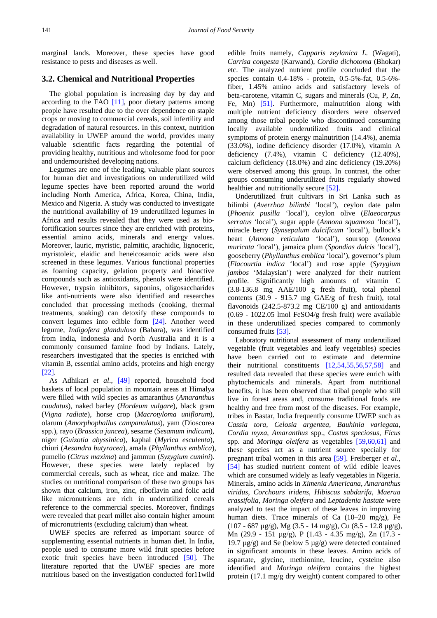marginal lands. Moreover, these species have good resistance to pests and diseases as well.

#### **3.2. Chemical and Nutritional Properties**

The global population is increasing day by day and according to the FAO [\[11\],](#page-9-30) poor dietary patterns among people have resulted due to the over dependence on staple crops or moving to commercial cereals, soil infertility and degradation of natural resources. In this context, nutrition availability in UWEP around the world, provides many valuable scientific facts regarding the potential of providing healthy, nutritious and wholesome food for poor and undernourished developing nations.

Legumes are one of the leading, valuable plant sources for human diet and investigations on underutilized wild legume species have been reported around the world including North America, Africa, Korea, China, India, Mexico and Nigeria. A study was conducted to investigate the nutritional availability of 19 underutilized legumes in Africa and results revealed that they were used as biofortification sources since they are enriched with proteins, essential amino acids, minerals and energy values. Moreover, lauric, myristic, palmitic, arachidic, lignoceric, myristoleic, elaidic and heneicosanoic acids were also screened in these legumes. Various functional properties as foaming capacity, gelation property and bioactive compounds such as antioxidants, phenols were identified. However, trypsin inhibitors, saponins, oligosaccharides like anti-nutrients were also identified and researches concluded that processing methods (cooking, thermal treatments, soaking) can detoxify these compounds to convert legumes into edible form [\[24\].](#page-9-15) Another weed legume, *Indigofera glandulosa* (Babara), was identified from India, Indonesia and North Australia and it is a commonly consumed famine food by Indians. Lately, researchers investigated that the species is enriched with vitamin B, essential amino acids, proteins and high energy [\[22\].](#page-9-13)

As Adhikari *et al*., [\[49\]](#page-10-4) reported, household food baskets of local population in mountain areas at Himalya were filled with wild species as amaranthus (*Amaranthus caudatus*), naked barley (*Hordeum vulgare*), black gram (*Vigna radiate*), horse crop (*Macrotyloma uniflorum*), olarum (*Amorphophallus campanulatus*), yam (Dioscorea spp.), rayo (*Brassica juncea*), sesame (*Sesamum indicum*), niger (*Guizotia abyssinica*), kaphal (*Myrica esculenta*), chiuri (*Aesandra butyracea*), amala (*Phyllanthus emblica*), pumello (*Citrus maxima*) and jammun (*Syzygium cumini*). However, these species were lately replaced by commercial cereals, such as wheat, rice and maize. The studies on nutritional comparison of these two groups has shown that calcium, iron, zinc, riboflavin and folic acid like micronutrients are rich in underutilized cereals reference to the commercial species. Moreover, findings were revealed that pearl millet also contain higher amount of micronutrients (excluding calcium) than wheat.

UWEF species are referred as important source of supplementing essential nutrients in human diet. In India, people used to consume more wild fruit species before exotic fruit species have been introduced [\[50\].](#page-10-5) The literature reported that the UWEF species are more nutritious based on the investigation conducted for11wild edible fruits namely, *Capparis zeylanica L.* (Wagati), *Carrisa congesta* (Karwand), *Cordia dichotoma* (Bhokar) etc. The analyzed nutrient profile concluded that the species contain 0.4-18% - protein, 0.5-5%-fat, 0.5-6% fiber, 1.45% amino acids and satisfactory levels of beta-carotene, vitamin C, sugars and minerals (Cu, P, Zn, Fe, Mn) [\[51\].](#page-10-6) Furthermore, malnutrition along with multiple nutrient deficiency disorders were observed among those tribal people who discontinued consuming locally available underutilized fruits and clinical symptoms of protein energy malnutrition (14.4%), anemia (33.0%), iodine deficiency disorder (17.0%), vitamin A deficiency (7.4%), vitamin C deficiency (12.40%), calcium deficiency (18.0%) and zinc deficiency (19.20%) were observed among this group. In contrast, the other groups consuming underutilized fruits regularly showed healthier and nutritionally secur[e \[52\].](#page-10-7)

Underutilized fruit cultivars in Sri Lanka such as bilimbi (*Averrhoa bilimbi* 'local'), ceylon date palm (*Phoenix pusilla* 'local'), ceylon olive (*Elaeocarpus serratus* 'local'), sugar apple (*Annona squamosa* 'local'), miracle berry (*Synsepalum dulcificum* 'local'), bullock's heart (*Annona reticulata* 'local'), soursop (*Annona muricata* 'local'), jamaica plum (*Spondias dulcis* 'local'), gooseberry (*Phyllanthus emblica* 'local'), governor's plum (*Flacourtia indica* 'local') and rose apple (*Syzygium jambos* 'Malaysian') were analyzed for their nutrient profile. Significantly high amounts of vitamin C (3.8-136.8 mg AAE/100 g fresh fruit), total phenol contents (30.9 - 915.7 mg GAE/g of fresh fruit), total flavonoids  $(242.5-873.2 \text{ mg CE}/100 \text{ g})$  and antioxidants (0.69 - 1022.05 lmol FeSO4/g fresh fruit) were available in these underutilized species compared to commonly consumed fruits [\[53\].](#page-10-8)

Laboratory nutritional assessment of many underutilized vegetable (fruit vegetables and leafy vegetables) species have been carried out to estimate and determine their nutritional constituents [\[12,54,55,56,57,58\]](#page-9-8) and resulted data revealed that these species were enrich with phytochemicals and minerals. Apart from nutritional benefits, it has been observed that tribal people who still live in forest areas and, consume traditional foods are healthy and free from most of the diseases. For example, tribes in Bastar, India frequently consume UWEP such as *Cassia tora, Celosia argentea, Bauhinia variegata*, *Cordia myxa*, *Amaranthus* spp., *Costus speciosus, Ficus*  spp. and *Moringa oleifera* as vegetables [\[59,60,61\]](#page-10-9) and these species act as a nutrient source specially for pregnant tribal women in this area [\[59\].](#page-10-9) Freiberger *et al*., [\[54\]](#page-10-10) has studied nutrient content of wild edible leaves which are consumed widely as leafy vegetables in Nigeria. Minerals, amino acids in *Ximenia Americana*, *Amaranthus viridus*, *Corchours iridens*, *Hibiscus sabdarifa*, *Maerua crassifolia*, *Moringa oleifera* and *Leptadenia hastate* were analyzed to test the impact of these leaves in improving human diets. Trace minerals of Ca (10-20 mg/g), Fe (107 - 687 µg/g), Mg (3.5 - 14 mg/g), Cu (8.5 - 12.8 µg/g), Mn (29.9 - 151 µg/g), P (1.43 - 4.35 mg/g), Zn (17.3 - 19.7  $\mu$ g/g) and Se (below 5  $\mu$ g/g) were detected contained in significant amounts in these leaves. Amino acids of aspartate, glycine, methionine, leucine, cysteine also identified and *Moringa oleifera* contains the highest protein (17.1 mg/g dry weight) content compared to other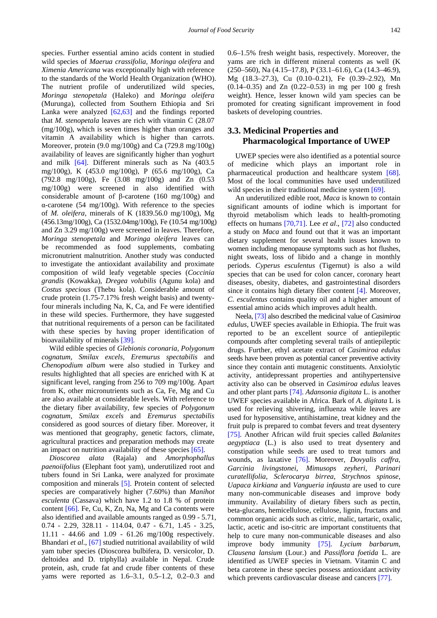species. Further essential amino acids content in studied wild species of *Maerua crassifolia*, *Moringa oleifera* and *Ximenia Americana* was exceptionally high with reference to the standards of the World Health Organization (WHO). The nutrient profile of underutilized wild species, *Moringa stenopetala* (Haleko) and *Moringa oleifera*  (Murunga), collected from Southern Ethiopia and Sri Lanka were analyzed [\[62,63\]](#page-10-11) and the findings reported that *M. stenopetala* leaves are rich with vitamin C (28.07 (mg/100g), which is seven times higher than oranges and vitamin A availability which is higher than carrots. Moreover, protein (9.0 mg/100g) and Ca (729.8 mg/100g) availability of leaves are significantly higher than yoghurt and milk [\[64\].](#page-10-12) Different minerals such as Na (403.5 mg/100g), K (453.0 mg/100g), P (65.6 mg/100g), Ca (792.8 mg/100g), Fe (3.08 mg/100g) and Zn (0.53 mg/100g) were screened in also identified with considerable amount of β-carotene (160 mg/100g) and α-carotene (54 mg/100g). With reference to the species of *M. oleifera,* minerals of K (1839.56.0 mg/100g), Mg (456.13mg/100g), Ca (1532.04mg/100g), Fe (10.54 mg/100g) and Zn 3.29 mg/100g) were screened in leaves. Therefore, *Moringa stenopetala* and *Moringa oleifera* leaves can be recommended as food supplements, combating micronutrient malnutrition. Another study was conducted to investigate the antioxidant availability and proximate composition of wild leafy vegetable species (*Coccinia grandis* (Kowakka), *Dregea volubilis* (Agunu kola) and *Costus specious* (Thebu kola). Considerable amount of crude protein (1.75-7.17% fresh weight basis) and twentyfour minerals including Na, K, Ca, and Fe were identified in these wild species. Furthermore, they have suggested that nutritional requirements of a person can be facilitated with these species by having proper identification of bioavailability of mineral[s \[39\].](#page-9-25)

Wild edible species of *Glebionis coronaria, Polygonum cognatum, Smilax excels, Eremurus spectabilis* and *Chenopodium album* were also studied in Turkey and results highlighted that all species are enriched with K at significant level, ranging from 256 to 709 mg/100g. Apart from K, other micronutrients such as Ca, Fe, Mg and Cu are also available at considerable levels. With reference to the dietary fiber availability, few species of *Polygonum cognatum, Smilax excels* and *Eremurus spectabilis*  considered as good sources of dietary fiber*.* Moreover, it was mentioned that geography, genetic factors, climate, agricultural practices and preparation methods may create an impact on nutrition availability of these species [\[65\].](#page-10-13)

*Dioscorea alata* (Rajala) and *Amorphophallus paenoiifolius* (Elephant foot yam), underutilized root and tubers found in Sri Lanka, were analyzed for proximate composition and minerals [\[5\].](#page-9-2) Protein content of selected species are comparatively higher (7.60%) than *Manihot esculenta* (Cassava) which have 1.2 to 1.8 % of protein content [\[66\].](#page-10-14) Fe, Cu, K, Zn, Na, Mg and Ca contents were also identified and available amounts ranged as 0.99 - 5.71, 0.74 - 2.29, 328.11 - 114.04, 0.47 - 6.71, 1.45 - 3.25, 11.11 - 44.66 and 1.09 - 61.26 mg/100g respectively. Bhandari *et al*., [\[67\]](#page-10-15) studied nutritional availability of wild yam tuber species (Dioscorea bulbifera, D. versicolor, D. deltoidea and D. triphylla) available in Nepal. Crude protein, ash, crude fat and crude fiber contents of these yams were reported as 1.6–3.1, 0.5–1.2, 0.2–0.3 and

0.6–1.5% fresh weight basis, respectively. Moreover, the yams are rich in different mineral contents as well (K (250–560), Na (4.15–17.8), P (33.1–61.6), Ca (14.3–46.9), Mg (18.3–27.3), Cu (0.10–0.21), Fe (0.39–2.92), Mn (0.14–0.35) and Zn (0.22–0.53) in mg per 100 g fresh weight). Hence, lesser known wild yam species can be promoted for creating significant improvement in food baskets of developing countries.

#### **3.3. Medicinal Properties and Pharmacological Importance of UWEP**

UWEP species were also identified as a potential source of medicine which plays an important role in pharmaceutical production and healthcare system [\[68\].](#page-10-16) Most of the local communities have used underutilized wild species in their traditional medicine system [\[69\].](#page-10-17)

An underutilized edible root, *Maca* is known to contain significant amounts of iodine which is important for thyroid metabolism which leads to health-promoting effects on humans [\[70,71\].](#page-10-18) Lee *et al*., [\[72\]](#page-10-19) also conducted a study on *Maca* and found out that it was an important dietary supplement for several health issues known to women including menopause symptoms such as hot flushes, night sweats, loss of libido and a change in monthly periods. *Cyperus esculentus* (Tigernut) is also a wild species that can be used for colon cancer, coronary heart diseases, obesity, diabetes, and gastrointestinal disorders since it contains high dietary fiber content [\[4\].](#page-9-1) Moreover, *C. esculentus* contains quality oil and a higher amount of essential amino acids which improves adult health.

Neela[, \[73\]](#page-10-20) also described the medicinal value of *Casimiroa edulus,* UWEF species available in Ethiopia. The fruit was reported to be an excellent source of antiepileptic compounds after completing several trails of antiepileptic drugs. Further, ethyl acetate extract of *Casimiroa edulus* seeds have been proven as potential cancer preventive activity since they contain anti mutagenic constituents. Anxiolytic activity, antidepressant properties and antihypertensive activity also can be observed in *Casimiroa edulus* leaves and other plant part[s \[74\].](#page-10-21) *Adansonia digitata* L. is another UWEF species available in Africa. Bark of *A. digitata* L is used for relieving shivering, influenza while leaves are used for hyposensitive, antihistamine, treat kidney and the fruit pulp is prepared to combat fevers and treat dysentery [\[75\].](#page-10-22) Another African wild fruit species called *Balanites aegyptiaca* (L.) is also used to treat dysentery and constipation while seeds are used to treat tumors and wounds, as laxative [\[76\].](#page-10-23) Moreover, *Dovyalis caffra*, *Garcinia livingstonei*, *Mimusops zeyheri*, *Parinari curatellifolia*, *Sclerocarya birrea*, *Strychnos spinose*, *Uapaca kirkiana* and *Vangueria infausta* are used to cure many non-communicable diseases and improve body immunity. Availability of dietary fibers such as pectin, beta-glucans, hemicellulose, cellulose, lignin, fructans and common organic acids such as citric, malic, tartaric, oxalic, lactic, acetic and iso-citric are important constituents that help to cure many non-communicable diseases and also improve body immunity [\[75\].](#page-10-22) *Lycium barbarum*, *Clausena lansium* (Lour.) and *Passiflora foetida* L. are identified as UWEF species in Vietnam. Vitamin C and beta carotene in these species possess antioxidant activity which prevents cardiovascular disease and cancers [\[77\].](#page-10-24)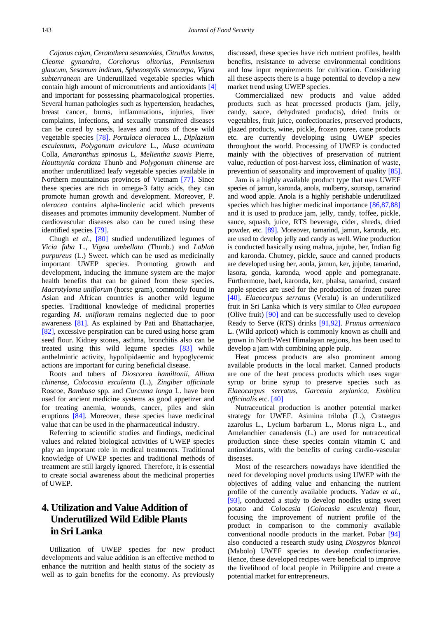*Cajanus cajan, Ceratotheca sesamoides, Citrullus lanatus, Cleome gynandra, Corchorus olitorius, Pennisetum glaucum, Sesamum indicum, Sphenostylis stenocarpa, Vigna subterranean* are Underutilized vegetable species which contain high amount of micronutrients and antioxidants [\[4\]](#page-9-1) and important for possessing pharmacological properties. Several human pathologies such as hypertension, headaches, breast cancer, burns, inflammations, injuries, liver complaints, infections, and sexually transmitted diseases can be cured by seeds, leaves and roots of those wild vegetable species [\[78\].](#page-10-25) *Portulaca oleracea* L., *Diplazium esculentum, Polygonum aviculare* L., *Musa acuminata* Colla, *Amaranthus spinosus* L, *Melientha suavis* Pierre, *Houttuynia cordata* Thunb and *Polygonum chinense* are another underutilized leafy vegetable species available in Northern mountainous provinces of Vietnam [\[77\].](#page-10-24) Since these species are rich in omega-3 fatty acids, they can promote human growth and development. Moreover, P. *oleracea* contains alpha-linolenic acid which prevents diseases and promotes immunity development. Number of cardiovascular diseases also can be cured using these identified species [\[79\].](#page-10-26)

Chugh *et al*., [\[80\]](#page-10-27) studied underutilized legumes of *Vicia faba* L., *Vigna umbellata* (Thunb.) and *Lablab purpureus* (L.) Sweet. which can be used as medicinally important UWEP species. Promoting growth and development, inducing the immune system are the major health benefits that can be gained from these species. *Macrotyloma uniflorum* (horse gram), commonly found in Asian and African countries is another wild legume species. Traditional knowledge of medicinal properties regarding *M. uniflorum* remains neglected due to poor awareness [\[81\].](#page-10-28) As explained by Pati and Bhattacharjee, [\[82\],](#page-10-29) excessive perspiration can be cured using horse gram seed flour. Kidney stones, asthma, bronchitis also can be treated using this wild legume species [\[83\]](#page-10-30) while anthelmintic activity, hypolipidaemic and hypoglycemic actions are important for curing beneficial disease.

Roots and tubers of *Dioscorea hamiltonii*, *Allium chinense*, *Colocasia esculenta* (L.), *Zingiber officinale* Roscoe, *Bambusa* spp. and *Curcuma longa* L. have been used for ancient medicine systems as good appetizer and for treating anemia, wounds, cancer, piles and skin eruptions [\[84\].](#page-10-31) Moreover, these species have medicinal value that can be used in the pharmaceutical industry.

Referring to scientific studies and findings, medicinal values and related biological activities of UWEP species play an important role in medical treatments. Traditional knowledge of UWEP species and traditional methods of treatment are still largely ignored. Therefore, it is essential to create social awareness about the medicinal properties of UWEP.

## **4. Utilization and Value Addition of Underutilized Wild Edible Plants in Sri Lanka**

Utilization of UWEP species for new product developments and value addition is an effective method to enhance the nutrition and health status of the society as well as to gain benefits for the economy. As previously discussed, these species have rich nutrient profiles, health benefits, resistance to adverse environmental conditions and low input requirements for cultivation. Considering all these aspects there is a huge potential to develop a new market trend using UWEP species.

Commercialized new products and value added products such as heat processed products (jam, jelly, candy, sauce, dehydrated products), dried fruits or vegetables, fruit juice, confectionaries, preserved products, glazed products, wine, pickle, frozen puree, cane products etc. are currently developing using UWEP species throughout the world. Processing of UWEP is conducted mainly with the objectives of preservation of nutrient value, reduction of post-harvest loss, elimination of waste, prevention of seasonality and improvement of quality [\[85\].](#page-10-32)

Jam is a highly available product type that uses UWEF species of jamun, karonda, anola, mulberry, soursop, tamarind and wood apple. Anola is a highly perishable underutilized species which has higher medicinal importance [\[86,87,88\]](#page-11-0) and it is used to produce jam, jelly, candy, toffee, pickle, sauce, squash, juice, RTS beverage, cider, shreds, dried powder, etc. [\[89\].](#page-11-1) Moreover, tamarind, jamun, karonda, etc. are used to develop jelly and candy as well. Wine production is conducted basically using mahua, jujube, ber, Indian fig and karonda. Chutney, pickle, sauce and canned products are developed using ber, aonla, jamun, ker, jujube, tamarind, lasora, gonda, karonda, wood apple and pomegranate. Furthermore, bael, karonda, ker, phalsa, tamarind, custard apple species are used for the production of frozen puree [\[40\].](#page-9-26) *Elaeocarpus serratus* (Veralu) is an underutilized fruit in Sri Lanka which is very similar to *Olea europaea* (Olive fruit) [\[90\]](#page-11-2) and can be successfully used to develop Ready to Serve (RTS) drinks [\[91,92\].](#page-11-3) *Prunus armeniaca* L. (Wild apricot) which is commonly known as chulli and grown in North-West Himalayan regions, has been used to develop a jam with combining apple pulp.

Heat process products are also prominent among available products in the local market. Canned products are one of the heat process products which uses sugar syrup or brine syrup to preserve species such as *Elaeocarpus serratus, Garcenia zeylanica, Emblica officinalis* etc. [\[40\]](#page-9-26)

Nutraceutical production is another potential market strategy for UWEF. Asimina triloba (L.), Crataegus azarolus L., Lycium barbarum L., Morus nigra L., and Amelanchier canadensis (L.) are used for nutraceutical production since these species contain vitamin C and antioxidants, with the benefits of curing cardio-vascular diseases.

Most of the researchers nowadays have identified the need for developing novel products using UWEP with the objectives of adding value and enhancing the nutrient profile of the currently available products. Yadav *et al*., [\[93\],](#page-11-4) conducted a study to develop noodles using sweet potato and *Colocasia* (*Colocasia esculenta*) flour, focusing the improvement of nutrient profile of the product in comparison to the commonly available conventional noodle products in the market. Pobar [\[94\]](#page-11-5) also conducted a research study using *Diospyros blancoi* (Mabolo) UWEF species to develop confectionaries. Hence, these developed recipes were beneficial to improve the livelihood of local people in Philippine and create a potential market for entrepreneurs.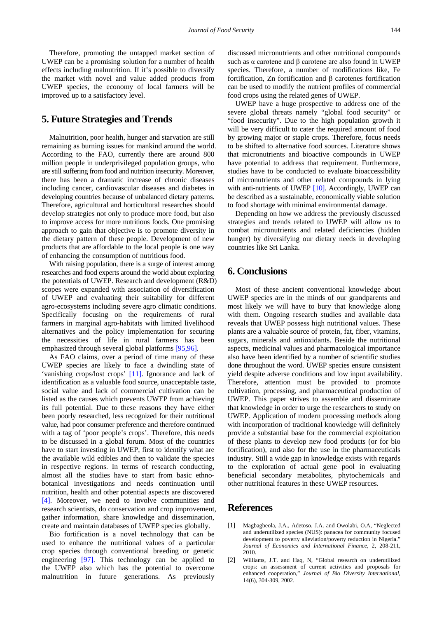Therefore, promoting the untapped market section of UWEP can be a promising solution for a number of health effects including malnutrition. If it's possible to diversify the market with novel and value added products from UWEP species, the economy of local farmers will be improved up to a satisfactory level.

#### **5. Future Strategies and Trends**

Malnutrition, poor health, hunger and starvation are still remaining as burning issues for mankind around the world. According to the FAO, currently there are around 800 million people in underprivileged population groups, who are still suffering from food and nutrition insecurity. Moreover, there has been a dramatic increase of chronic diseases including cancer, cardiovascular diseases and diabetes in developing countries because of unbalanced dietary patterns. Therefore, agricultural and horticultural researches should develop strategies not only to produce more food, but also to improve access for more nutritious foods. One promising approach to gain that objective is to promote diversity in the dietary pattern of these people. Development of new products that are affordable to the local people is one way of enhancing the consumption of nutritious food.

With raising population, there is a surge of interest among researches and food experts around the world about exploring the potentials of UWEP. Research and development (R&D) scopes were expanded with association of diversification of UWEP and evaluating their suitability for different agro-ecosystems including severe agro climatic conditions. Specifically focusing on the requirements of rural farmers in marginal agro-habitats with limited livelihood alternatives and the policy implementation for securing the necessities of life in rural farmers has been emphasized through several global platforms [\[95,96\].](#page-11-6)

As FAO claims, over a period of time many of these UWEP species are likely to face a dwindling state of 'vanishing crops/lost crops' [\[11\].](#page-9-30) Ignorance and lack of identification as a valuable food source, unacceptable taste, social value and lack of commercial cultivation can be listed as the causes which prevents UWEP from achieving its full potential. Due to these reasons they have either been poorly researched, less recognized for their nutritional value, had poor consumer preference and therefore continued with a tag of 'poor people's crops'. Therefore, this needs to be discussed in a global forum. Most of the countries have to start investing in UWEP, first to identify what are the available wild edibles and then to validate the species in respective regions. In terms of research conducting, almost all the studies have to start from basic ethnobotanical investigations and needs continuation until nutrition, health and other potential aspects are discovered [\[4\].](#page-9-1) Moreover, we need to involve communities and research scientists, do conservation and crop improvement, gather information, share knowledge and dissemination, create and maintain databases of UWEP species globally.

Bio fortification is a novel technology that can be used to enhance the nutritional values of a particular crop species through conventional breeding or genetic engineering [\[97\].](#page-11-7) This technology can be applied to the UWEP also which has the potential to overcome malnutrition in future generations. As previously

discussed micronutrients and other nutritional compounds such as α carotene and β carotene are also found in UWEP species. Therefore, a number of modifications like, Fe fortification, Zn fortification and β carotenes fortification can be used to modify the nutrient profiles of commercial food crops using the related genes of UWEP.

UWEP have a huge prospective to address one of the severe global threats namely "global food security" or "food insecurity". Due to the high population growth it will be very difficult to cater the required amount of food by growing major or staple crops. Therefore, focus needs to be shifted to alternative food sources. Literature shows that micronutrients and bioactive compounds in UWEP have potential to address that requirement. Furthermore, studies have to be conducted to evaluate bioaccessibility of micronutrients and other related compounds in lying with anti-nutrients of UWEP [\[10\].](#page-9-7) Accordingly, UWEP can be described as a sustainable, economically viable solution to food shortage with minimal environmental damage.

Depending on how we address the previously discussed strategies and trends related to UWEP will allow us to combat micronutrients and related deficiencies (hidden hunger) by diversifying our dietary needs in developing countries like Sri Lanka.

### **6. Conclusions**

Most of these ancient conventional knowledge about UWEP species are in the minds of our grandparents and most likely we will have to bury that knowledge along with them. Ongoing research studies and available data reveals that UWEP possess high nutritional values. These plants are a valuable source of protein, fat, fiber, vitamins, sugars, minerals and antioxidants. Beside the nutritional aspects, medicinal values and pharmacological importance also have been identified by a number of scientific studies done throughout the word. UWEP species ensure consistent yield despite adverse conditions and low input availability. Therefore, attention must be provided to promote cultivation, processing, and pharmaceutical production of UWEP. This paper strives to assemble and disseminate that knowledge in order to urge the researchers to study on UWEP. Application of modern processing methods along with incorporation of traditional knowledge will definitely provide a substantial base for the commercial exploitation of these plants to develop new food products (or for bio fortification), and also for the use in the pharmaceuticals industry. Still a wide gap in knowledge exists with regards to the exploration of actual gene pool in evaluating beneficial secondary metabolites, phytochemicals and other nutritional features in these UWEP resources.

#### **References**

- <span id="page-8-0"></span>[1] Magbagbeola, J.A., Adetoso, J.A. and Owolabi, O.A, "Neglected and underutilized species (NUS): panacea for community focused development to poverty alleviation/poverty reduction in Nigeria." *Journal of Economics and International Finance,* 2, 208-211, 2010.
- <span id="page-8-1"></span>[2] Williams, J.T. and Haq, N, "Global research on underutilized crops: an assessment of current activities and proposals for enhanced cooperation," *Journal of Bio Diversity International,*  14(6), 304-309, 2002.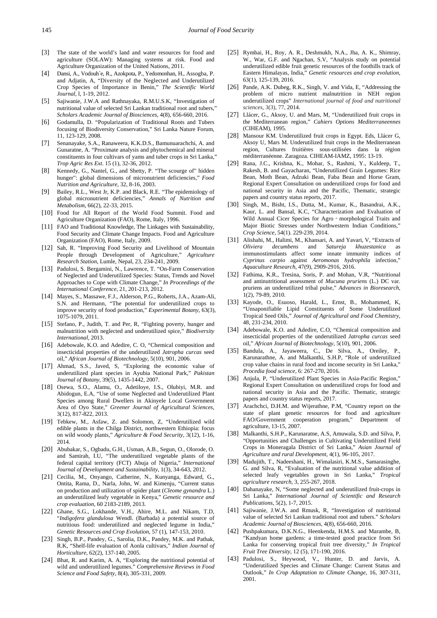- <span id="page-9-0"></span>[3] The state of the world's land and water resources for food and agriculture (SOLAW): Managing systems at risk. Food and Agriculture Organization of the United Nations, 2011.
- <span id="page-9-1"></span>[4] Dansi, A., Vodouh`e, R., Azokpota, P., Yedomonhan, H., Assogba, P. and Adjatin, A, "Diversity of the Neglected and Underutilized Crop Species of Importance in Benin," *The Scientific World Journal*, l, 1-19, 2012.
- <span id="page-9-2"></span>[5] Sajiwanie, J.W.A and Rathnayaka, R.M.U.S.K, "Investigation of nutritional value of selected Sri Lankan traditional root and tubers," *Scholars Academic Journal of Biosciences*, 4(8), 656-660, 2016.
- <span id="page-9-3"></span>[6] Godamulla, D. "Popularization of Traditional Roots and Tubers focusing of Biodiversity Conservation," Sri Lanka Nature Forum, 11, 123-129, 2008.
- <span id="page-9-4"></span>[7] Senanayake, S.A., Ranaweera, K.K.D.S., Bamunuarachchi, A. and Gunaratne, A. "Proximate analysis and phytochemical and mineral constituents in four cultivars of yams and tuber crops in Sri Lanka," *Trop Agric Res Ext*. 15 (1), 32-36, 2012.
- <span id="page-9-5"></span>[8] Kennedy, G., Nantel, G., and Shetty, P. "The scourge of" hidden hunger": global dimensions of micronutrient deficiencies," *Food Nutrition and Agriculture*, 32, 8-16, 2003.
- <span id="page-9-6"></span>[9] Bailey, R.L., West Jr, K.P. and Black, R.E. "The epidemiology of global micronutrient deficiencies," *Annals of Nutrition and Metabolism*, 66(2), 22-33, 2015.
- <span id="page-9-7"></span>[10] Food for All Report of the World Food Summit. Food and Agriculture Organization (FAO), Rome, Italy, 1996.
- <span id="page-9-30"></span>[11] FAO and Traditional Knowledge, The Linkages with Sustainability, Food Security and Climate Change Impacts. Food and Agriculture Organization (FAO), Rome, Italy, 2009.
- <span id="page-9-8"></span>[12] Sah, R. "Improving Food Security and Livelihood of Mountain People through Development of Agriculture," Agriculture *Research Station*, Lumle, Nepal, 23, 234-241, 2009.
- [13] Padulosi, S. Bergamini, N., Lawrence, T. "On-Farm Conservation of Neglected and Underutilized Species: Status, Trends and Novel Approaches to Cope with Climate Change," *In Proceedings of the International Conference*, 21, 201-213, 2012.
- <span id="page-9-9"></span>[14] Mayes, S., Massawe, F.J., Alderson, P.G., Roberts, J.A., Azam-Ali, S.N. and Hermann, "The potential for underutilized crops to improve security of food production," *Experimental Botany*, 63(3), 1075-1079, 2011.
- <span id="page-9-10"></span>[15] Stefano, P., Judith, T. and Per, R, "Fighting poverty, hunger and malnutrition with neglected and underutilized spice," *Biodiversity International*, 2013.
- <span id="page-9-11"></span>[16] Adebowale, K.O. and Adedire, C. O, "Chemical composition and insecticidal properties of the underutilized *Jatropha curcas* seed oil," *African Journal of Biotechnology*, 5(10), 901, 2006.
- [17] Ahmad, S.S., Javed, S, "Exploring the economic value of underutilized plant species in Ayubia National Park," *Pakistan Journal of Botany*, 39(5), 1435-1442, 2007.
- [18] Osewa, S.O., Alamu, O., Adetiloye, I.S., Olubiyi, M.R. and Abidogun, E.A, "Use of some Neglected and Underutilized Plant Species among Rural Dwellers in Akinyele Local Government Area of Oyo State," *Greener Journal of Agricultural Sciences*, 3(12), 817-822, 2013.
- [19] Tebkew, M., Asfaw, Z. and Solomon, Z, "Underutilized wild edible plants in the Chilga District, northwestern Ethiopia: focus on wild woody plants," *Agriculture & Food Security*, 3(12), 1-16, 2014.
- [20] Abubakar, S., Ogbadu, G.H., Usman, A.B., Segun, O., Olorode, O. and Samirah, I.U, "The underutilized vegetable plants of the federal capital territory (FCT) Abuja of Nigeria," *International Journal of Development and Sustainability*, 1(3), 34-643, 2012.
- <span id="page-9-12"></span>[21] Cecilia, M., Onyango, Catherine, N., Kunyanga, Edward, G., Ontita, Rama, D., Narla, John, W. and Kimenju, "Current status on production and utilization of spider plant (*Cleome gynandra* L.) an underutilized leafy vegetable in Kenya," *Genetic resource and crop evaluation*, 60 2183-2189, 2013.
- <span id="page-9-13"></span>[22] Ghane, S.G., Lokhande, V.H., Ahire, M.L. and Nikam, T.D, "*Indigofera glandulosa* Wendl. (Barbada) a potential source of nutritious food: underutilized and neglected legume in India," *Genetic Resources and Crop Evolution*, 57 (1), 147-153, 2010.
- <span id="page-9-14"></span>[23] Singh, B.P., Pandey, G., Sarolia, D.K., Pandey, M.K. and Pathak, R.K, "Shelf-life evaluation of Aonla cultivars," *Indian Journal of Horticulture*, 62(2), 137-140, 2005.
- <span id="page-9-15"></span>[24] Bhat, R. and Karim, A. A, "Exploring the nutritional potential of wild and underutilized legumes." *Comprehensive Reviews in Food Science and Food Safety*, 8(4), 305-331, 2009.
- <span id="page-9-16"></span>[25] Rymbai, H., Roy, A. R., Deshmukh, N.A., Jha, A. K., Shimray, W., War, G.F. and Ngachan, S.V, "Analysis study on potential underutilized edible fruit genetic resources of the foothills track of Eastern Himalayas, India," *Genetic resources and crop evolution*, 63(1), 125-139, 2016.
- <span id="page-9-17"></span>[26] Pande, A.K. Dubeg, R.K., Singh, V. and Vida, E, "Addressing the problem of micro nutrient malnutrition in NEH region underutilized crops" *International journal of food and nutritional sciences*, 3(3), 77, 2014.
- <span id="page-9-18"></span>[27] Llácer, G., Aksoy, U. and Mars, M, "Underutilized fruit crops in the Mediterranean region," *Cahiers Options Mediterraneennes* (CIHEAM), 1995.
- [28] Mansour KM. Underutilized fruit crops in Egypt. Eds, Llácer G, Aksoy U, Mars M. Underutilized fruit crops in the Mediterranean region, Cultures fruitières sous-utilisées dans la région méditerranéenne. Zaragoza. CIHEAM-IAMZ, 1995: 13-19.
- <span id="page-9-19"></span>[29] Rana, J.C., Krishna, K., Mohar, S., Rashmi, Y., Kuldeep, T., Rakesh, B. and Gayacharan, "Underutilized Grain Legumes: Rice Bean, Moth Bean, Adzuki Bean, Faba Bean and Horse Gram, Regional Expert Consultation on underutilized crops for food and national security in Asia and the Pacific, Thematic, strategic papers and country status reports, 2017.
- [30] Singh, M., Bisht, I.S., Dutta, M., Kumar, K., Basandrai, A.K., Kaur, L. and Bansal, K.C, "Characterization and Evaluation of Wild Annual Cicer Species for Agro - morphological Traits and Major Biotic Stresses under Northwestern Indian Conditions," *Crop Science*, 54(1). 229-239, 2014.
- [31] Alishahi, M., Halimi, M., Khansari, A. and Yavari, V, "Extracts of *Oliviera decumbens* and *Satureja khuzestanica* immunostimulants affect some innate immunity indices of *Cyprinus carpio* against *Aeromonas hydrophila* infection," *Aquaculture Research*, 47(9), 2909-2916, 2016.
- [32] Fathima, K.R., Tresina, Soris, P. and Mohan, V.R. "Nutritional and antinutritional assessment of *Mucuna pruriens* (L.) DC var. pruriens an underutilized tribal pulse," *Advances in Bioresearch*, 1(2), 79-89, 2010.
- <span id="page-9-20"></span>[33] Kayode, O., Esuoso, Harald, L., Ernst, B., Mohammed, K, "Unsaponifiable Lipid Constituents of Some Underutilized Tropical Seed Oils," *Journal of Agricultural and Food Chemistry*, 48, 231-234, 2010.
- <span id="page-9-21"></span>[34] Adebowale, K.O. and Adedire, C.O. "Chemical composition and insecticidal properties of the underutilized *Jatropha curcas* seed oil," *African Journal of Biotechnology*, 5(10), 901, 2006.
- <span id="page-9-22"></span>[35] Bandula, A., Jayaweera, C., De Silva, A., Oreiley, P., Karunarathne, A. and Malkanthi, S.H.P, "Role of underutilized crop value chains in rural food and income security in Sri Lanka," *Procedia food science*, 6: 267-270, 2016.
- <span id="page-9-23"></span>[36] Anjula, P, "Underutilized Plant Species in Asia-Pacific Region," Regional Expert Consultation on underutilized crops for food and national security in Asia and the Pacific. Thematic, strategic papers and country status reports, 2017.
- <span id="page-9-24"></span>[37] Arachchci, D.H.M. and Wijerathne, P.M, "Country report on the state of plant genetic resources for food and agriculture FAO/Government cooperation program," Department agriculture, 13-15, 2007.
- <span id="page-9-27"></span>[38] Malkanthi, S.H.P., Karunaratne, A.S, Amuwala, S.D. and Silva, P, "Opportunities and Challenges in Cultivating Underutilized Field Crops in Moneragala District of Sri Lanka," *Asian Journal of Agriculture and rural Development*, 4(1), 96-105, 2017.
- <span id="page-9-25"></span>[39] Madujith, T., Nadeeshani, H., Wimalasiri, K.M.S., Samarasinghe, G. and Silva, R, "Evaluation of the nutritional value addition of selected leafy vegetables grown in Sri Lanka," *Tropical agriculture research*, 3, 255-267, 2018.
- <span id="page-9-26"></span>[40] Dahanayake, N, "Some neglected and underutilized fruit-crops in Sri Lanka," *International Journal of Scientific and Research Publications*, 5(2), 1-7, 2015.
- <span id="page-9-28"></span>[41] Sajiwanie, J.W.A. and Rmusk, R, "Investigation of nutritional value of selected Sri Lankan traditional root and tubers." *Scholars Academic Journal of Biosciences*, 4(8), 656-660, 2016.
- [42] Pushpakumara, D.K.N.G., Heenkenda, H.M.S. and Marambe, B, "Kandyan home gardens: a time-tested good practice from Sri Lanka for conserving tropical fruit tree diversity," *In Tropical Fruit Tree Diversity*, 12 (5), 171-190, 2016.
- <span id="page-9-29"></span>[43] Padulosi, S., Heywood, V., Hunter, D. and Jarvis, A. "Underutilized Species and Climate Change: Current Status and Outlook," *In Crop Adaptation to Climate Change*, 16, 307-311, 2001.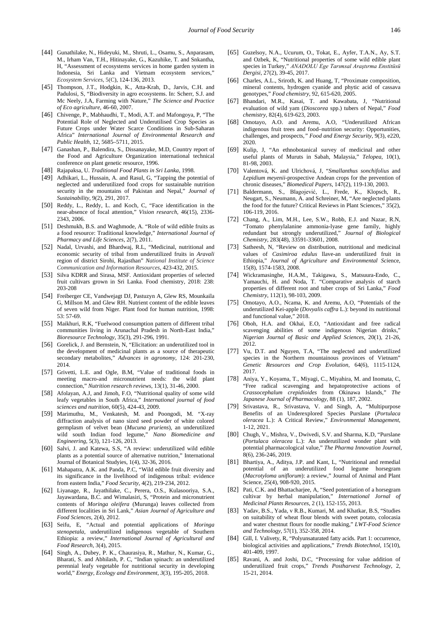- [44] Gunathilake, N., Hideyuki, M., Shruti, L., Osamu, S., Anparasam, M., Irham Van, T.H., Hitinayake, G., Kazuhike, T. and Snkantha, H, "Assessment of ecosystems services in home garden system in Indonesia, Sri Lanka and Vietnam ecosystem services, *Ecosystem Services*, 5(C), 124-136, 2013.
- <span id="page-10-0"></span>[45] Thompson, J.T., Hodgkin, K., Atta-Krah, D., Jarvis, C.H. and Padulosi, S, "Biodiversity in agro ecosystems. In: Scherr, S.J. and Mc Neely, J.A, Farming with Nature," *The Science and Practice of Eco agriculture*, 46-60, 2007.
- <span id="page-10-1"></span>[46] Chivenge, P., Mabhaudhi, T., Modi, A.T. and Mafongoya, P, "The Potential Role of Neglected and Underutilised Crop Species as Future Crops under Water Scarce Conditions in Sub-Saharan Africa" *International Journal of Environmental Research and Public Health*, 12, 5685–5711, 2015.
- <span id="page-10-2"></span>[47] Ganashan, P., Balendira, S., Dissanayake, M.D, Country report of the Food and Agriculture Organization international technical conference on plant genetic resource, 1996.
- <span id="page-10-3"></span>[48] Rajapaksa, U. *Traditional Food Plants in Sri Lanka*, 1998.
- <span id="page-10-4"></span>[49] Adhikari, L., Hussain, A. and Rasul, G. "Tapping the potential of neglected and underutilized food crops for sustainable nutrition security in the mountains of Pakistan and Nepal," *Journal of Sustainability*, 9(2), 291, 2017.
- <span id="page-10-5"></span>[50] Reddy, L., Reddy, L. and Koch, C, "Face identification in the near-absence of focal attention," *Vision research*, 46(15), 2336- 2343, 2006.
- <span id="page-10-6"></span>[51] Deshmukh, B.S. and Waghmode, A. "Role of wild edible fruits as a food resource: Traditional knowledge," *International Journal of Pharmacy and Life Sciences*, 2(7), 2011.
- <span id="page-10-7"></span>[52] Nadal, Urvashi, and Bhardwaj, R.L, "Medicinal, nutritional and economic security of tribal from underutilized fruits in *Aravali* region of district Sirohi, Rajasthan" *National Institute of Science Communication and Information Resources*, 423-432, 2015.
- <span id="page-10-8"></span>[53] Silva KDRR and Sirasa, MSF. Antioxidant properties of selected fruit cultivars grown in Sri Lanka. Food chemistry, 2018: 238: 203-208
- <span id="page-10-10"></span>[54] Freiberger CE, Vandwejagt DJ, Pastuzyn A, Glew RS, Mounkaila G, Millson M. and Glew RH. Nutrient content of the edible leaves of seven wild from Niger. Plant food for human nutrition, 1998: 53: 57-69.
- [55] Maikhuri, R.K, "Fuelwood consumption pattern of different tribal communities living in Arunachal Pradesh in North-East India,' *Bioresource Technology*, 35(3), 291-296, 1991.
- [56] Gorelick, J. and Bernstein, N, "Elicitation: an underutilized tool in the development of medicinal plants as a source of therapeutic secondary metabolites," *Advances in agronomy*, 124: 201-230, 2014.
- [57] Grivetti, L.E. and Ogle, B.M, "Value of traditional foods in meeting macro-and micronutrient needs: the wild plant connection," *Nutrition research reviews*, 13(1), 31-46, 2000.
- [58] Afolayan, A.J, and Jimoh, F.O, "Nutritional quality of some wild leafy vegetables in South Africa," *International journal of food sciences and nutrition*, 60(5), 424-43, 2009.
- <span id="page-10-9"></span>[59] Marimuthu, M., Venkatesh, M. and Poongodi, M. "X-ray diffraction analysis of nano sized seed powder of white colored germplasm of velvet bean (*Mucuna pruriens*), an underutilized wild south Indian food legume," *Nano Biomedicine and Engineering*, 5(3), 121-126, 2013.
- [60] Salvi, J. and Katewa, S.S. "A review: underutilized wild edible plants as a potential source of alternative nutrition," International Journal of Botanical Studyies, 1(4), 32-36, 2016.
- [61] Mahapatra, A.K. and Panda, P.C, "Wild edible fruit diversity and its significance in the livelihood of indigenous tribal: evidence from eastern India," *Food Security*, 4(2), 219-234, 2012.
- <span id="page-10-11"></span>[62] Liyanage, R., Jayathilake, C., Perera, O.S., Kulasooriya, S.A., Jayawardana, B.C. and Wimalasiri, S, "Protein and micronutrient contents of *Moringa oleifera* (Murunga) leaves collected from different localities in Sri Lank," *Asian Journal of Agriculture and Food Sciences*, 2(4), 2012.
- [63] Seifu, E, "Actual and potential applications of *Moringa stenopetala*, underutilized indigenous vegetable of Southern Ethiopia: a review," *International Journal of Agricultural and Food Research*, 3(4), 2015.
- <span id="page-10-12"></span>[64] Singh, A., Dubey, P. K., Chaurasiya, R., Mathur, N., Kumar, G., Bharati, S. and Abhilash, P. C, "Indian spinach: an underutilized perennial leafy vegetable for nutritional security in developing world," *Energy, Ecology and Environment*, *3*(3), 195-205, 2018.
- <span id="page-10-13"></span>[65] Guzelsoy, N.A., Ucurum, O., Tokat, E., Ayfer, T.A.N., Ay, S.T. and Ozbek, K, "Nutritional properties of some wild edible plant species in Turkey," *ANADOLU Ege Tarımsal Araştırma Enstitüsü Dergisi*, 27(2), 39-45, 2017.
- <span id="page-10-14"></span>[66] Charles, A.L., Sriroth, K. and Huang, T. "Proximate composition, mineral contents, hydrogen cyanide and phytic acid of cassava genotypes," *Food chemistry*, 92, 615-620, 2005.
- <span id="page-10-15"></span>[67] Bhandari, M.R., Kasai, T. and Kawabata, J, "Nutritional evaluation of wild yam (*Dioscorea* spp.) tubers of Nepal," *Food chemistry*, 82(4), 619-623, 2003.
- <span id="page-10-16"></span>[68] Omotayo, A.O. and Aremu, A.O, "Underutilized African indigenous fruit trees and food–nutrition security: Opportunities, challenges, and prospects*," Food and Energy Security,* 9(3), e220, 2020.
- <span id="page-10-17"></span>[69] Kulip, J, "An ethnobotanical survey of medicinal and other useful plants of Muruts in Sabah, Malaysia," *Telopea*, 10(1), 81-98, 2003.
- <span id="page-10-18"></span>[70] Valentová, K. and Ulrichová, J, "*Smallanthus sonchifolius* and *Lepidium meyenii*-prospective Andean crops for the prevention of chronic diseases," *Biomedical Papers*, 147(2), 119-130, 2003.
- [71] Baldermann, S., Blagojević, L., Frede, K., Klopsch, R., Neugart, S., Neumann, A. and Schreiner, M, "Are neglected plants the food for the future? Critical Reviews in Plant Sciences," 35(2), 106-119, 2016.
- <span id="page-10-19"></span>[72] Chang, A., Lim, M.H., Lee, S.W., Robb, E.J. and Nazar, R.N, "Tomato phenylalanine ammonia-lyase gene family, highly redundant but strongly underutilized," *Journal of Biological Chemistry*, 283(48), 33591-33601, 2008.
- <span id="page-10-20"></span>[73] Satheesh, N, "Review on distribution, nutritional and medicinal values of *Casimiroa edulus* llave-an underutilized fruit in Ethiopia," *Journal of Agriculture and Environmental Sci*ence, 15(8), 1574-1583, 2008.
- <span id="page-10-21"></span>[74] Wickramasinghe, H.A.M., Takigawa, S., Matsuura-Endo, C., Yamauchi, H. and Noda, T. "Comparative analysis of starch properties of different root and tuber crops of Sri Lanka," *Food Chemistry*, 112(1), 98-103, 2009.
- <span id="page-10-22"></span>[75] Omotayo, A.O., Ncama, K. and Aremu, A.O, "Potentials of the underutilized Kei-apple (*Dovyalis caffra* L.): beyond its nutritional and functional value," 2018.
- <span id="page-10-23"></span>[76] Oboh, H.A. and Okhai, E.O, "Antioxidant and free radical scavenging abilities of some indigenous Nigerian drinks, *Nigerian Journal of Basic and Applied Sciences*, 20(1), 21-26, 2012.
- <span id="page-10-24"></span>[77] Vu, D.T. and Nguyen, T.A, "The neglected and underutilized species in the Northern mountainous provinces of Vietnam' *Genetic Resources and Crop Evolution*, 64(6), 1115-1124, 2017.
- <span id="page-10-25"></span>[78] Aniya, Y., Koyama, T., Miyagi, C., Miyahira, M. and Inomata, C, "Free radical scavenging and hepatoprotective actions of Crassocenhalum crenidioides from Okinawa Islands," The *Crassocephalum crepidioides* from Okinawa Islands," *Japanese Journal of Pharmacology*, 88 (1), 187, 2002.
- <span id="page-10-26"></span>[79] Srivastava, R., Srivastava, V. and Singh, A, "Multipurpose Benefits of an Underexplored Species Purslane (*Portulaca oleracea* L.): A Critical Review," *Environmental Management*, 1-12, 2021.
- <span id="page-10-27"></span>[80] Chugh, V., Mishra, V., Dwivedi, S.V. and Sharma, K.D, "Purslane (*Portulaca oleracea* L.): An underutilized wonder plant with potential pharmacological value," *The Pharma Innovation Journal*, 8(6), 236-246, 2019.
- <span id="page-10-28"></span>[81] Bhartiya, A., Aditya, J.P. and Kant, L, "Nutritional and remedial potential of an underutilized food legume horsegram (*Macrotyloma uniflorum*): a review," Journal of Animal and Plant Science, 25(4), 908-920, 2015.
- <span id="page-10-29"></span>[82] Pati, C.K. and Bhattacharjee, A, "Seed potentiation of a horsegram cultivar by herbal manipulation," *International Jornal of Medicinal Plants Resources*, 2 (1), 152-155, 2013.
- <span id="page-10-30"></span>[83] Yadav, B.S., Yada, v R.B., Kumari, M. and Khatkar, B.S, "Studies on suitability of wheat flour blends with sweet potato, colocasia and water chestnut flours for noodle making," *LWT-Food Science and Technology*, 57(1), 352-358, 2014.
- <span id="page-10-31"></span>[84] Gill, I. Valivety, R, "Polyunsaturated fatty acids. Part 1: occurrence, biological activities and applications," *Trends Biotechnol*, 15(10), 401-409, 1997.
- <span id="page-10-32"></span>[85] Ravani, A. and Joshi, D.C, "Processing for value addition of underutilized fruit crops," *Trends Postharvest Technology*, 2, 15-21, 2014.